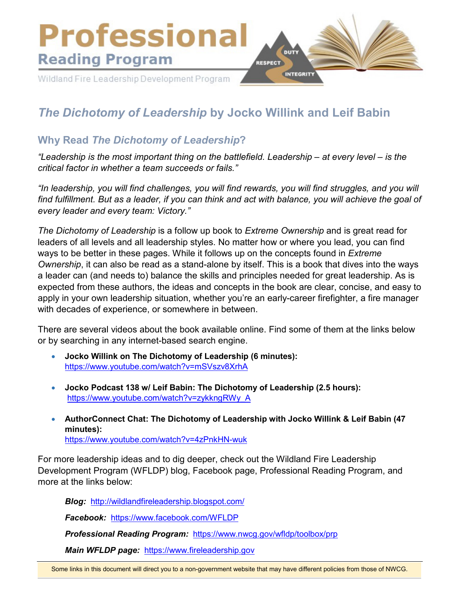

# *The Dichotomy of Leadership* **by Jocko Willink and Leif Babin**

# **Why Read** *The Dichotomy of Leadership***?**

*"Leadership is the most important thing on the battlefield. Leadership – at every level – is the critical factor in whether a team succeeds or fails."*

*"In leadership, you will find challenges, you will find rewards, you will find struggles, and you will find fulfillment. But as a leader, if you can think and act with balance, you will achieve the goal of every leader and every team: Victory."*

*The Dichotomy of Leadership* is a follow up book to *Extreme Ownership* and is great read for leaders of all levels and all leadership styles. No matter how or where you lead, you can find ways to be better in these pages. While it follows up on the concepts found in *Extreme Ownership*, it can also be read as a stand-alone by itself. This is a book that dives into the ways a leader can (and needs to) balance the skills and principles needed for great leadership. As is expected from these authors, the ideas and concepts in the book are clear, concise, and easy to apply in your own leadership situation, whether you're an early-career firefighter, a fire manager with decades of experience, or somewhere in between.

There are several videos about the book available online. Find some of them at the links below or by searching in any internet-based search engine.

- **Jocko Willink on The Dichotomy of Leadership (6 minutes):** <https://www.youtube.com/watch?v=mSVszv8XrhA>
- **Jocko Podcast 138 w/ Leif Babin: The Dichotomy of Leadership (2.5 hours):** [https://www.youtube.com/watch?v=zykkngRWy\\_A](https://www.youtube.com/watch?v=zykkngRWy_A)
- **AuthorConnect Chat: The Dichotomy of Leadership with Jocko Willink & Leif Babin (47 minutes):** <https://www.youtube.com/watch?v=4zPnkHN-wuk>

For more leadership ideas and to dig deeper, check out the Wildland Fire Leadership Development Program (WFLDP) blog, Facebook page, Professional Reading Program, and more at the links below:

*Blog:* <http://wildlandfireleadership.blogspot.com/>

*Facebook:* <https://www.facebook.com/WFLDP>

*Professional Reading Program:* <https://www.nwcg.gov/wfldp/toolbox/prp>

*Main WFLDP page:* [https://www.fireleadership.gov](https://www.fireleadership.gov/)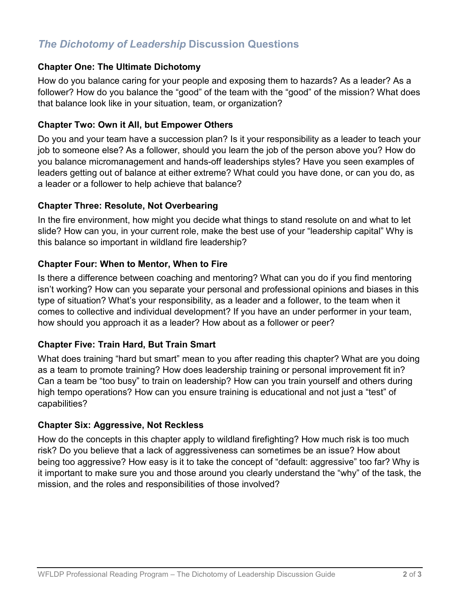# *The Dichotomy of Leadership* **Discussion Questions**

#### **Chapter One: The Ultimate Dichotomy**

How do you balance caring for your people and exposing them to hazards? As a leader? As a follower? How do you balance the "good" of the team with the "good" of the mission? What does that balance look like in your situation, team, or organization?

#### **Chapter Two: Own it All, but Empower Others**

Do you and your team have a succession plan? Is it your responsibility as a leader to teach your job to someone else? As a follower, should you learn the job of the person above you? How do you balance micromanagement and hands-off leaderships styles? Have you seen examples of leaders getting out of balance at either extreme? What could you have done, or can you do, as a leader or a follower to help achieve that balance?

#### **Chapter Three: Resolute, Not Overbearing**

In the fire environment, how might you decide what things to stand resolute on and what to let slide? How can you, in your current role, make the best use of your "leadership capital" Why is this balance so important in wildland fire leadership?

#### **Chapter Four: When to Mentor, When to Fire**

Is there a difference between coaching and mentoring? What can you do if you find mentoring isn't working? How can you separate your personal and professional opinions and biases in this type of situation? What's your responsibility, as a leader and a follower, to the team when it comes to collective and individual development? If you have an under performer in your team, how should you approach it as a leader? How about as a follower or peer?

#### **Chapter Five: Train Hard, But Train Smart**

What does training "hard but smart" mean to you after reading this chapter? What are you doing as a team to promote training? How does leadership training or personal improvement fit in? Can a team be "too busy" to train on leadership? How can you train yourself and others during high tempo operations? How can you ensure training is educational and not just a "test" of capabilities?

#### **Chapter Six: Aggressive, Not Reckless**

How do the concepts in this chapter apply to wildland firefighting? How much risk is too much risk? Do you believe that a lack of aggressiveness can sometimes be an issue? How about being too aggressive? How easy is it to take the concept of "default: aggressive" too far? Why is it important to make sure you and those around you clearly understand the "why" of the task, the mission, and the roles and responsibilities of those involved?